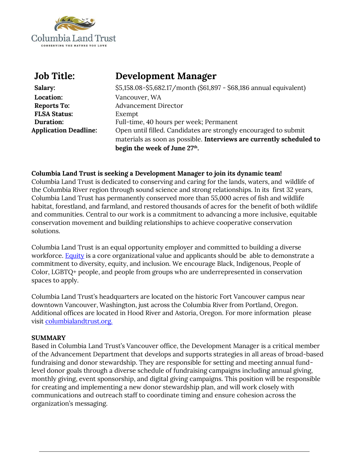

| <b>Job Title:</b>            | Development Manager                                                  |
|------------------------------|----------------------------------------------------------------------|
| Salary:                      | \$5,158.08-\$5,682.17/month (\$61,897 - \$68,186 annual equivalent)  |
| Location:                    | Vancouver, WA                                                        |
| <b>Reports To:</b>           | <b>Advancement Director</b>                                          |
| <b>FLSA Status:</b>          | Exempt                                                               |
| Duration:                    | Full-time, 40 hours per week; Permanent                              |
| <b>Application Deadline:</b> | Open until filled. Candidates are strongly encouraged to submit      |
|                              | materials as soon as possible. Interviews are currently scheduled to |
|                              | begin the week of June 27 <sup>th</sup> .                            |

### **Columbia Land Trust is seeking a Development Manager to join its dynamic team!**

Columbia Land Trust is dedicated to conserving and caring for the lands, waters, and wildlife of the Columbia River region through sound science and strong relationships. In its first 32 years, Columbia Land Trust has permanently conserved more than 55,000 acres of fish and wildlife habitat, forestland, and farmland, and restored thousands of acres for the benefit of both wildlife and communities. Central to our work is a commitment to advancing a more inclusive, equitable conservation movement and building relationships to achieve cooperative conservation solutions.

Columbia Land Trust is an equal opportunity employer and committed to building a diverse workforce. [Equity](https://www.columbialandtrust.org/about-us/equity/) is a core organizational value and applicants should be able to demonstrate a commitment to diversity, equity, and inclusion. We encourage Black, Indigenous, People of Color, LGBTQ+ people, and people from groups who are underrepresented in conservation spaces to apply.

Columbia Land Trust's headquarters are located on the historic Fort Vancouver campus near downtown Vancouver, Washington, just across the Columbia River from Portland, Oregon. Additional offices are located in Hood River and Astoria, Oregon. For more information please visit [columbialandtrust.org.](http://www.columbialandtrust.org/)

#### **SUMMARY**

Based in Columbia Land Trust's Vancouver office, the Development Manager is a critical member of the Advancement Department that develops and supports strategies in all areas of broad-based fundraising and donor stewardship. They are responsible for setting and meeting annual fundlevel donor goals through a diverse schedule of fundraising campaigns including annual giving, monthly giving, event sponsorship, and digital giving campaigns. This position will be responsible for creating and implementing a new donor stewardship plan, and will work closely with communications and outreach staff to coordinate timing and ensure cohesion across the organization's messaging.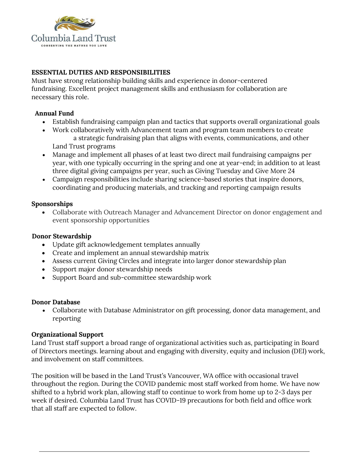

## **ESSENTIAL DUTIES AND RESPONSIBILITIES**

Must have strong relationship building skills and experience in donor-centered fundraising. Excellent project management skills and enthusiasm for collaboration are necessary this role.

### **Annual Fund**

- Establish fundraising campaign plan and tactics that supports overall organizational goals
- Work collaboratively with Advancement team and program team members to create a strategic fundraising plan that aligns with events, communications, and other Land Trust programs
- Manage and implement all phases of at least two direct mail fundraising campaigns per year, with one typically occurring in the spring and one at year-end; in addition to at least three digital giving campaigns per year, such as Giving Tuesday and Give More 24
- Campaign responsibilities include sharing science-based stories that inspire donors, coordinating and producing materials, and tracking and reporting campaign results

### **Sponsorships**

• Collaborate with Outreach Manager and Advancement Director on donor engagement and event sponsorship opportunities

### **Donor Stewardship**

- Update gift acknowledgement templates annually
- Create and implement an annual stewardship matrix
- Assess current Giving Circles and integrate into larger donor stewardship plan
- Support major donor stewardship needs
- Support Board and sub-committee stewardship work

### **Donor Database**

• Collaborate with Database Administrator on gift processing, donor data management, and reporting

### **Organizational Support**

Land Trust staff support a broad range of organizational activities such as, participating in Board of Directors meetings. learning about and engaging with diversity, equity and inclusion (DEI) work, and involvement on staff committees.

The position will be based in the Land Trust's Vancouver, WA office with occasional travel throughout the region. During the COVID pandemic most staff worked from home. We have now shifted to a hybrid work plan, allowing staff to continue to work from home up to 2-3 days per week if desired. Columbia Land Trust has COVID-19 precautions for both field and office work that all staff are expected to follow.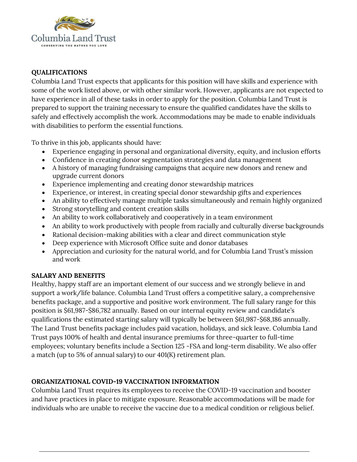

## **QUALIFICATIONS**

Columbia Land Trust expects that applicants for this position will have skills and experience with some of the work listed above, or with other similar work. However, applicants are not expected to have experience in all of these tasks in order to apply for the position. Columbia Land Trust is prepared to support the training necessary to ensure the qualified candidates have the skills to safely and effectively accomplish the work. Accommodations may be made to enable individuals with disabilities to perform the essential functions.

To thrive in this job, applicants should have:

- Experience engaging in personal and organizational diversity, equity, and inclusion efforts
- Confidence in creating donor segmentation strategies and data management
- A history of managing fundraising campaigns that acquire new donors and renew and upgrade current donors
- Experience implementing and creating donor stewardship matrices
- Experience, or interest, in creating special donor stewardship gifts and experiences
- An ability to effectively manage multiple tasks simultaneously and remain highly organized
- Strong storytelling and content creation skills
- An ability to work collaboratively and cooperatively in a team environment
- An ability to work productively with people from racially and culturally diverse backgrounds
- Rational decision-making abilities with a clear and direct communication style
- Deep experience with Microsoft Office suite and donor databases
- Appreciation and curiosity for the natural world, and for Columbia Land Trust's mission and work

## **SALARY AND BENEFITS**

Healthy, happy staff are an important element of our success and we strongly believe in and support a work/life balance. Columbia Land Trust offers a competitive salary, a comprehensive benefits package, and a supportive and positive work environment. The full salary range for this position is \$61,987-\$86,782 annually. Based on our internal equity review and candidate's qualifications the estimated starting salary will typically be between \$61,987-\$68,186 annually. The Land Trust benefits package includes paid vacation, holidays, and sick leave. Columbia Land Trust pays 100% of health and dental insurance premiums for three-quarter to full-time employees; voluntary benefits include a Section 125 -FSA and long-term disability. We also offer a match (up to 5% of annual salary) to our 401(K) retirement plan.

# **ORGANIZATIONAL COVID-19 VACCINATION INFORMATION**

Columbia Land Trust requires its employees to receive the COVID-19 vaccination and booster and have practices in place to mitigate exposure. Reasonable accommodations will be made for individuals who are unable to receive the vaccine due to a medical condition or religious belief.